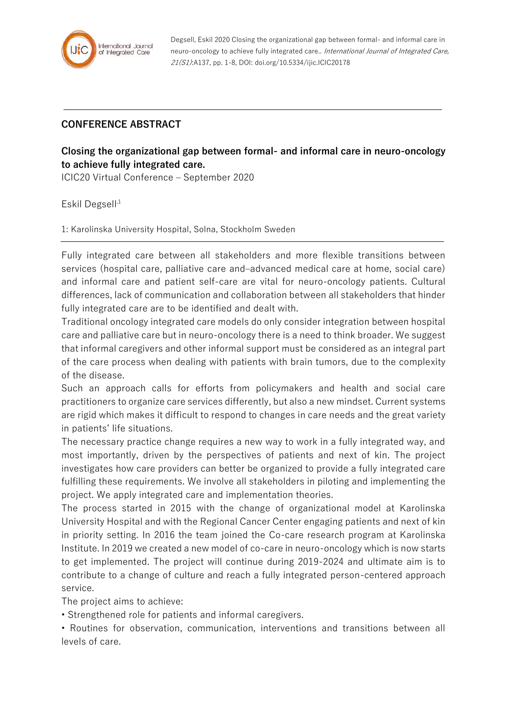

Degsell, Eskil 2020 Closing the organizational gap between formal- and informal care in neuro-oncology to achieve fully integrated care.. International Journal of Integrated Care, 21(S1):A137, pp. 1-8, DOI: doi.org/10.5334/ijic.ICIC20178

## **CONFERENCE ABSTRACT**

## **Closing the organizational gap between formal- and informal care in neuro-oncology to achieve fully integrated care.**

ICIC20 Virtual Conference – September 2020

Eskil Degsell<sup>,1</sup>

1: Karolinska University Hospital, Solna, Stockholm Sweden

Fully integrated care between all stakeholders and more flexible transitions between services (hospital care, palliative care and–advanced medical care at home, social care) and informal care and patient self-care are vital for neuro-oncology patients. Cultural differences, lack of communication and collaboration between all stakeholders that hinder fully integrated care are to be identified and dealt with.

Traditional oncology integrated care models do only consider integration between hospital care and palliative care but in neuro-oncology there is a need to think broader. We suggest that informal caregivers and other informal support must be considered as an integral part of the care process when dealing with patients with brain tumors, due to the complexity of the disease.

Such an approach calls for efforts from policymakers and health and social care practitioners to organize care services differently, but also a new mindset. Current systems are rigid which makes it difficult to respond to changes in care needs and the great variety in patients' life situations.

The necessary practice change requires a new way to work in a fully integrated way, and most importantly, driven by the perspectives of patients and next of kin. The project investigates how care providers can better be organized to provide a fully integrated care fulfilling these requirements. We involve all stakeholders in piloting and implementing the project. We apply integrated care and implementation theories.

The process started in 2015 with the change of organizational model at Karolinska University Hospital and with the Regional Cancer Center engaging patients and next of kin in priority setting. In 2016 the team joined the Co-care research program at Karolinska Institute. In 2019 we created a new model of co-care in neuro-oncology which is now starts to get implemented. The project will continue during 2019-2024 and ultimate aim is to contribute to a change of culture and reach a fully integrated person-centered approach service.

The project aims to achieve:

• Strengthened role for patients and informal caregivers.

• Routines for observation, communication, interventions and transitions between all levels of care.